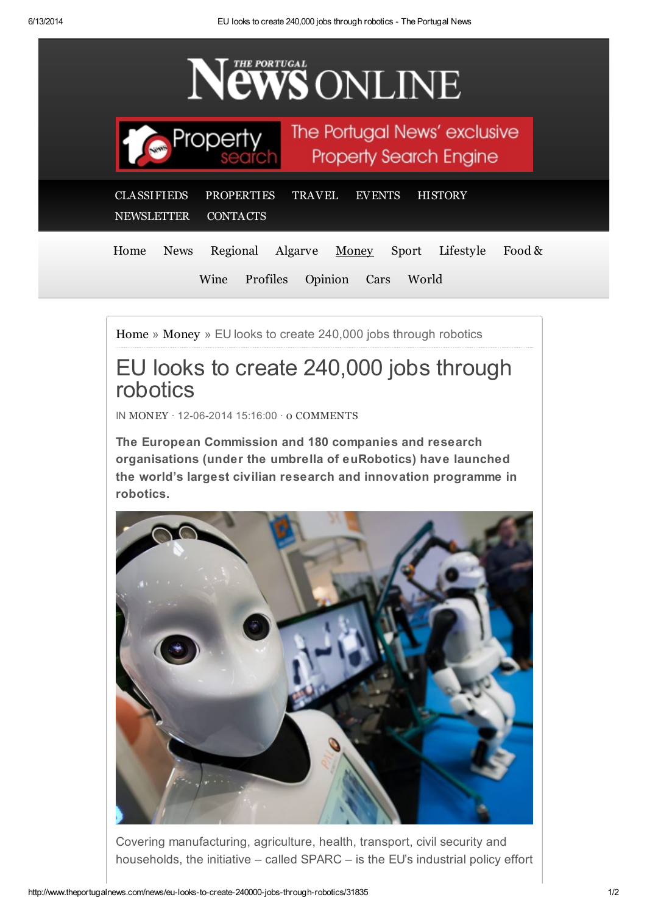

[Home](http://www.theportugalnews.com/) » [Money](http://www.theportugalnews.com/news/money) » EU looks to create 240,000 jobs through robotics

## EU looks to create 240,000 jobs through robotics

IN [MONEY](http://www.theportugalnews.com/news/money) · 12-06-2014 15:16:00 · 0 [COMMENTS](http://www.theportugalnews.com/news/eu-looks-to-create-240000-jobs-through-robotics/31835#comments)

The European Commission and 180 companies and research organisations (under the umbrella of euRobotics) have launched the world's largest civilian research and innovation programme in robotics.



Covering manufacturing, agriculture, health, transport, civil security and households, the initiative – called SPARC – is the EU's industrial policy effort